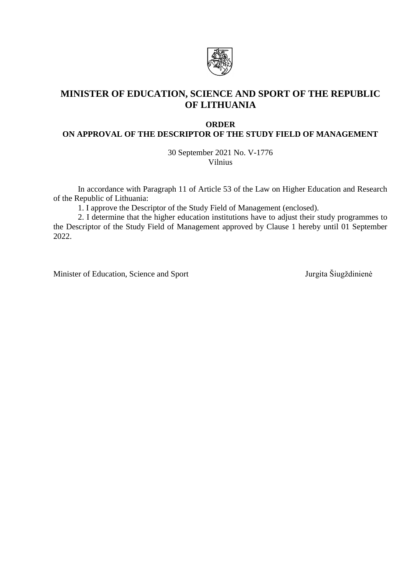

# **MINISTER OF EDUCATION, SCIENCE AND SPORT OF THE REPUBLIC OF LITHUANIA**

# **ORDER**

**ON APPROVAL OF THE DESCRIPTOR OF THE STUDY FIELD OF MANAGEMENT**

30 September 2021 No. V-1776 Vilnius

In accordance with Paragraph 11 of Article 53 of the Law on Higher Education and Research of the Republic of Lithuania:

1. I approve the Descriptor of the Study Field of Management (enclosed).

2. I determine that the higher education institutions have to adjust their study programmes to the Descriptor of the Study Field of Management approved by Clause 1 hereby until 01 September 2022.

Minister of Education, Science and Sport Jurgita Šiugždinienė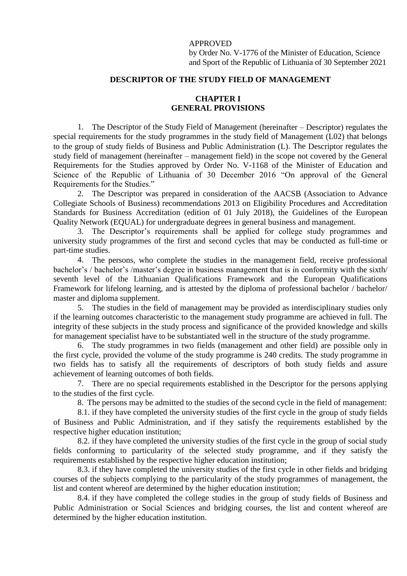#### APPROVED

by Order No. V-1776 of the Minister of Education, Science and Sport of the Republic of Lithuania of 30 September 2021

#### **DESCRIPTOR OF THE STUDY FIELD OF MANAGEMENT**

## **CHAPTER I GENERAL PROVISIONS**

1. The Descriptor of the Study Field of Management (hereinafter – Descriptor) regulates the special requirements for the study programmes in the study field of Management (L02) that belongs to the group of study fields of Business and Public Administration (L). The Descriptor regulates the study field of management (hereinafter – management field) in the scope not covered by the General Requirements for the Studies approved by Order No. V-1168 of the Minister of Education and Science of the Republic of Lithuania of 30 December 2016 "On approval of the General Requirements for the Studies."

2. The Descriptor was prepared in consideration of the AACSB (Association to Advance Collegiate Schools of Business) recommendations 2013 on Eligibility Procedures and Accreditation Standards for Business Accreditation (edition of 01 July 2018), the Guidelines of the European Quality Network (EQUAL) for undergraduate degrees in general business and management.

3. The Descriptor's requirements shall be applied for college study programmes and university study programmes of the first and second cycles that may be conducted as full-time or part-time studies.

4. The persons, who complete the studies in the management field, receive professional bachelor's / bachelor's /master's degree in business management that is in conformity with the sixth/ seventh level of the Lithuanian Qualifications Framework and the European Qualifications Framework for lifelong learning, and is attested by the diploma of professional bachelor / bachelor/ master and diploma supplement.

5. The studies in the field of management may be provided as interdisciplinary studies only if the learning outcomes characteristic to the management study programme are achieved in full. The integrity of these subjects in the study process and significance of the provided knowledge and skills for management specialist have to be substantiated well in the structure of the study programme.

6. The study programmes in two fields (management and other field) are possible only in the first cycle, provided the volume of the study programme is 240 credits. The study programme in two fields has to satisfy all the requirements of descriptors of both study fields and assure achievement of learning outcomes of both fields.

7. There are no special requirements established in the Descriptor for the persons applying to the studies of the first cycle.

8. The persons may be admitted to the studies of the second cycle in the field of management:

8.1. if they have completed the university studies of the first cycle in the group of study fields of Business and Public Administration, and if they satisfy the requirements established by the respective higher education institution;

8.2. if they have completed the university studies of the first cycle in the group of social study fields conforming to particularity of the selected study programme, and if they satisfy the requirements established by the respective higher education institution;

8.3. if they have completed the university studies of the first cycle in other fields and bridging courses of the subjects complying to the particularity of the study programmes of management, the list and content whereof are determined by the higher education institution;

8.4. if they have completed the college studies in the group of study fields of Business and Public Administration or Social Sciences and bridging courses, the list and content whereof are determined by the higher education institution.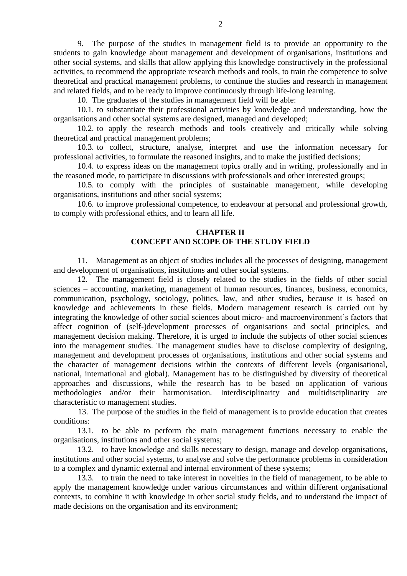9. The purpose of the studies in management field is to provide an opportunity to the students to gain knowledge about management and development of organisations, institutions and other social systems, and skills that allow applying this knowledge constructively in the professional activities, to recommend the appropriate research methods and tools, to train the competence to solve theoretical and practical management problems, to continue the studies and research in management and related fields, and to be ready to improve continuously through life-long learning.

10. The graduates of the studies in management field will be able:

10.1. to substantiate their professional activities by knowledge and understanding, how the organisations and other social systems are designed, managed and developed;

10.2. to apply the research methods and tools creatively and critically while solving theoretical and practical management problems;

10.3. to collect, structure, analyse, interpret and use the information necessary for professional activities, to formulate the reasoned insights, and to make the justified decisions;

10.4. to express ideas on the management topics orally and in writing, professionally and in the reasoned mode, to participate in discussions with professionals and other interested groups;

10.5. to comply with the principles of sustainable management, while developing organisations, institutions and other social systems;

10.6. to improve professional competence, to endeavour at personal and professional growth, to comply with professional ethics, and to learn all life.

# **CHAPTER II CONCEPT AND SCOPE OF THE STUDY FIELD**

11. Management as an object of studies includes all the processes of designing, management and development of organisations, institutions and other social systems.

12. The management field is closely related to the studies in the fields of other social sciences – accounting, marketing, management of human resources, finances, business, economics, communication, psychology, sociology, politics, law, and other studies, because it is based on knowledge and achievements in these fields. Modern management research is carried out by integrating the knowledge of other social sciences about micro- and macroenvironment's factors that affect cognition of (self-)development processes of organisations and social principles, and management decision making. Therefore, it is urged to include the subjects of other social sciences into the management studies. The management studies have to disclose complexity of designing, management and development processes of organisations, institutions and other social systems and the character of management decisions within the contexts of different levels (organisational, national, international and global). Management has to be distinguished by diversity of theoretical approaches and discussions, while the research has to be based on application of various methodologies and/or their harmonisation. Interdisciplinarity and multidisciplinarity are characteristic to management studies.

13. The purpose of the studies in the field of management is to provide education that creates conditions:

13.1. to be able to perform the main management functions necessary to enable the organisations, institutions and other social systems;

13.2. to have knowledge and skills necessary to design, manage and develop organisations, institutions and other social systems, to analyse and solve the performance problems in consideration to a complex and dynamic external and internal environment of these systems;

13.3. to train the need to take interest in novelties in the field of management, to be able to apply the management knowledge under various circumstances and within different organisational contexts, to combine it with knowledge in other social study fields, and to understand the impact of made decisions on the organisation and its environment;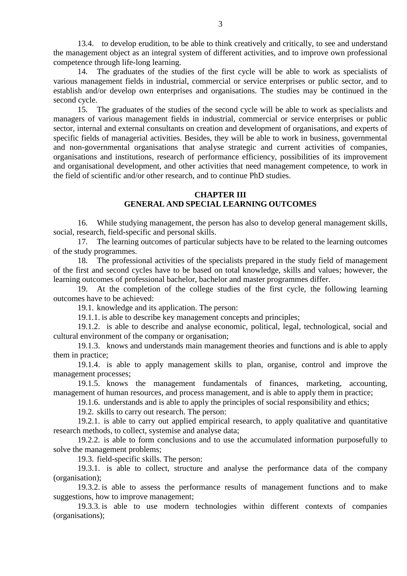13.4. to develop erudition, to be able to think creatively and critically, to see and understand the management object as an integral system of different activities, and to improve own professional competence through life-long learning.

14. The graduates of the studies of the first cycle will be able to work as specialists of various management fields in industrial, commercial or service enterprises or public sector, and to establish and/or develop own enterprises and organisations. The studies may be continued in the second cycle.

15. The graduates of the studies of the second cycle will be able to work as specialists and managers of various management fields in industrial, commercial or service enterprises or public sector, internal and external consultants on creation and development of organisations, and experts of specific fields of managerial activities. Besides, they will be able to work in business, governmental and non-governmental organisations that analyse strategic and current activities of companies, organisations and institutions, research of performance efficiency, possibilities of its improvement and organisational development, and other activities that need management competence, to work in the field of scientific and/or other research, and to continue PhD studies.

## **CHAPTER III GENERAL AND SPECIAL LEARNING OUTCOMES**

16. While studying management, the person has also to develop general management skills, social, research, field-specific and personal skills.

17. The learning outcomes of particular subjects have to be related to the learning outcomes of the study programmes.

18. The professional activities of the specialists prepared in the study field of management of the first and second cycles have to be based on total knowledge, skills and values; however, the learning outcomes of professional bachelor, bachelor and master programmes differ.

19. At the completion of the college studies of the first cycle, the following learning outcomes have to be achieved:

19.1. knowledge and its application. The person:

19.1.1. is able to describe key management concepts and principles;

19.1.2. is able to describe and analyse economic, political, legal, technological, social and cultural environment of the company or organisation;

19.1.3. knows and understands main management theories and functions and is able to apply them in practice;

19.1.4. is able to apply management skills to plan, organise, control and improve the management processes;

19.1.5. knows the management fundamentals of finances, marketing, accounting, management of human resources, and process management, and is able to apply them in practice;

19.1.6. understands and is able to apply the principles of social responsibility and ethics;

19.2. skills to carry out research. The person:

19.2.1. is able to carry out applied empirical research, to apply qualitative and quantitative research methods, to collect, systemise and analyse data;

19.2.2. is able to form conclusions and to use the accumulated information purposefully to solve the management problems;

19.3. field-specific skills. The person:

19.3.1. is able to collect, structure and analyse the performance data of the company (organisation);

19.3.2. is able to assess the performance results of management functions and to make suggestions, how to improve management;

19.3.3. is able to use modern technologies within different contexts of companies (organisations);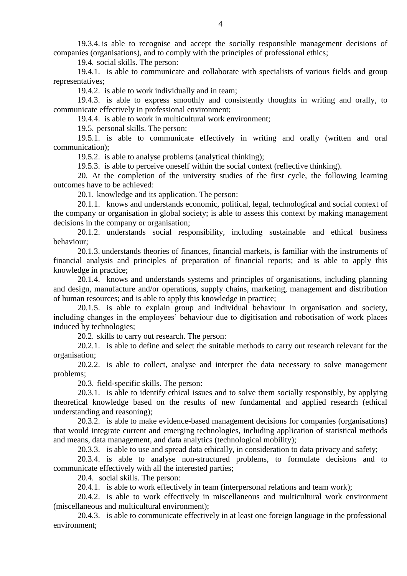19.3.4. is able to recognise and accept the socially responsible management decisions of companies (organisations), and to comply with the principles of professional ethics;

19.4. social skills. The person:

19.4.1. is able to communicate and collaborate with specialists of various fields and group representatives;

19.4.2. is able to work individually and in team;

19.4.3. is able to express smoothly and consistently thoughts in writing and orally, to communicate effectively in professional environment;

19.4.4. is able to work in multicultural work environment;

19.5. personal skills. The person:

19.5.1. is able to communicate effectively in writing and orally (written and oral communication);

19.5.2. is able to analyse problems (analytical thinking);

19.5.3. is able to perceive oneself within the social context (reflective thinking).

20. At the completion of the university studies of the first cycle, the following learning outcomes have to be achieved:

20.1. knowledge and its application. The person:

20.1.1. knows and understands economic, political, legal, technological and social context of the company or organisation in global society; is able to assess this context by making management decisions in the company or organisation;

20.1.2. understands social responsibility, including sustainable and ethical business behaviour;

20.1.3. understands theories of finances, financial markets, is familiar with the instruments of financial analysis and principles of preparation of financial reports; and is able to apply this knowledge in practice;

20.1.4. knows and understands systems and principles of organisations, including planning and design, manufacture and/or operations, supply chains, marketing, management and distribution of human resources; and is able to apply this knowledge in practice;

20.1.5. is able to explain group and individual behaviour in organisation and society, including changes in the employees' behaviour due to digitisation and robotisation of work places induced by technologies;

20.2. skills to carry out research. The person:

20.2.1. is able to define and select the suitable methods to carry out research relevant for the organisation;

20.2.2. is able to collect, analyse and interpret the data necessary to solve management problems;

20.3. field-specific skills. The person:

20.3.1. is able to identify ethical issues and to solve them socially responsibly, by applying theoretical knowledge based on the results of new fundamental and applied research (ethical understanding and reasoning);

20.3.2. is able to make evidence-based management decisions for companies (organisations) that would integrate current and emerging technologies, including application of statistical methods and means, data management, and data analytics (technological mobility);

20.3.3. is able to use and spread data ethically, in consideration to data privacy and safety;

20.3.4. is able to analyse non-structured problems, to formulate decisions and to communicate effectively with all the interested parties;

20.4. social skills. The person:

20.4.1. is able to work effectively in team (interpersonal relations and team work);

20.4.2. is able to work effectively in miscellaneous and multicultural work environment (miscellaneous and multicultural environment);

20.4.3. is able to communicate effectively in at least one foreign language in the professional environment;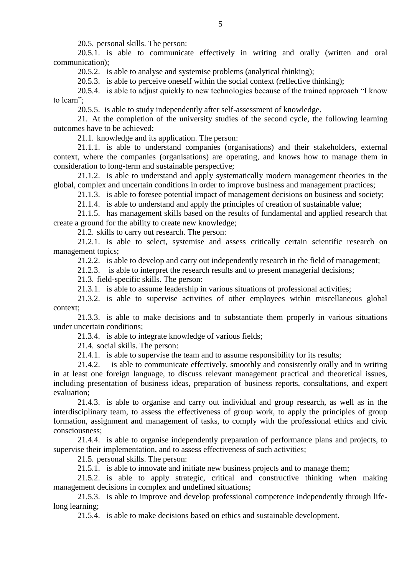20.5. personal skills. The person:

20.5.1. is able to communicate effectively in writing and orally (written and oral communication);

20.5.2. is able to analyse and systemise problems (analytical thinking);

20.5.3. is able to perceive oneself within the social context (reflective thinking);

20.5.4. is able to adjust quickly to new technologies because of the trained approach "I know to learn";

20.5.5. is able to study independently after self-assessment of knowledge.

21. At the completion of the university studies of the second cycle, the following learning outcomes have to be achieved:

21.1. knowledge and its application. The person:

21.1.1. is able to understand companies (organisations) and their stakeholders, external context, where the companies (organisations) are operating, and knows how to manage them in consideration to long-term and sustainable perspective;

21.1.2. is able to understand and apply systematically modern management theories in the global, complex and uncertain conditions in order to improve business and management practices;

21.1.3. is able to foresee potential impact of management decisions on business and society;

21.1.4. is able to understand and apply the principles of creation of sustainable value;

21.1.5. has management skills based on the results of fundamental and applied research that create a ground for the ability to create new knowledge;

21.2. skills to carry out research. The person:

21.2.1. is able to select, systemise and assess critically certain scientific research on management topics;

21.2.2. is able to develop and carry out independently research in the field of management;

21.2.3. is able to interpret the research results and to present managerial decisions;

21.3. field-specific skills. The person:

21.3.1. is able to assume leadership in various situations of professional activities;

21.3.2. is able to supervise activities of other employees within miscellaneous global context;

21.3.3. is able to make decisions and to substantiate them properly in various situations under uncertain conditions;

21.3.4. is able to integrate knowledge of various fields;

21.4. social skills. The person:

21.4.1. is able to supervise the team and to assume responsibility for its results;

21.4.2. is able to communicate effectively, smoothly and consistently orally and in writing in at least one foreign language, to discuss relevant management practical and theoretical issues, including presentation of business ideas, preparation of business reports, consultations, and expert evaluation;

21.4.3. is able to organise and carry out individual and group research, as well as in the interdisciplinary team, to assess the effectiveness of group work, to apply the principles of group formation, assignment and management of tasks, to comply with the professional ethics and civic consciousness;

21.4.4. is able to organise independently preparation of performance plans and projects, to supervise their implementation, and to assess effectiveness of such activities;

21.5. personal skills. The person:

21.5.1. is able to innovate and initiate new business projects and to manage them;

21.5.2. is able to apply strategic, critical and constructive thinking when making management decisions in complex and undefined situations;

21.5.3. is able to improve and develop professional competence independently through lifelong learning;

21.5.4. is able to make decisions based on ethics and sustainable development.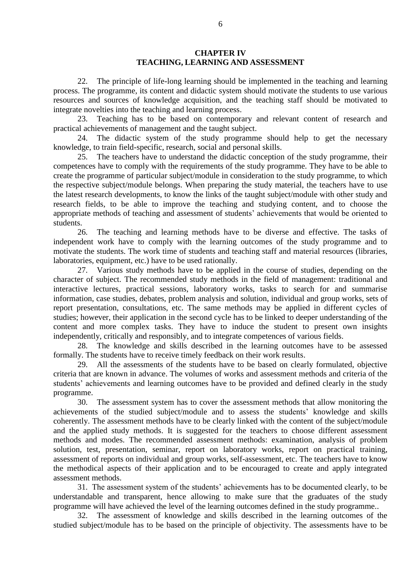## **CHAPTER IV TEACHING, LEARNING AND ASSESSMENT**

22. The principle of life-long learning should be implemented in the teaching and learning process. The programme, its content and didactic system should motivate the students to use various resources and sources of knowledge acquisition, and the teaching staff should be motivated to integrate novelties into the teaching and learning process.

23. Teaching has to be based on contemporary and relevant content of research and practical achievements of management and the taught subject.

24. The didactic system of the study programme should help to get the necessary knowledge, to train field-specific, research, social and personal skills.

25. The teachers have to understand the didactic conception of the study programme, their competences have to comply with the requirements of the study programme. They have to be able to create the programme of particular subject/module in consideration to the study programme, to which the respective subject/module belongs. When preparing the study material, the teachers have to use the latest research developments, to know the links of the taught subject/module with other study and research fields, to be able to improve the teaching and studying content, and to choose the appropriate methods of teaching and assessment of students' achievements that would be oriented to students.

26. The teaching and learning methods have to be diverse and effective. The tasks of independent work have to comply with the learning outcomes of the study programme and to motivate the students. The work time of students and teaching staff and material resources (libraries, laboratories, equipment, etc.) have to be used rationally.

27. Various study methods have to be applied in the course of studies, depending on the character of subject. The recommended study methods in the field of management: traditional and interactive lectures, practical sessions, laboratory works, tasks to search for and summarise information, case studies, debates, problem analysis and solution, individual and group works, sets of report presentation, consultations, etc. The same methods may be applied in different cycles of studies; however, their application in the second cycle has to be linked to deeper understanding of the content and more complex tasks. They have to induce the student to present own insights independently, critically and responsibly, and to integrate competences of various fields.

28. The knowledge and skills described in the learning outcomes have to be assessed formally. The students have to receive timely feedback on their work results.

29. All the assessments of the students have to be based on clearly formulated, objective criteria that are known in advance. The volumes of works and assessment methods and criteria of the students' achievements and learning outcomes have to be provided and defined clearly in the study programme.

30. The assessment system has to cover the assessment methods that allow monitoring the achievements of the studied subject/module and to assess the students' knowledge and skills coherently. The assessment methods have to be clearly linked with the content of the subject/module and the applied study methods. It is suggested for the teachers to choose different assessment methods and modes. The recommended assessment methods: examination, analysis of problem solution, test, presentation, seminar, report on laboratory works, report on practical training, assessment of reports on individual and group works, self-assessment, etc. The teachers have to know the methodical aspects of their application and to be encouraged to create and apply integrated assessment methods.

31. The assessment system of the students' achievements has to be documented clearly, to be understandable and transparent, hence allowing to make sure that the graduates of the study programme will have achieved the level of the learning outcomes defined in the study programme..

32. The assessment of knowledge and skills described in the learning outcomes of the studied subject/module has to be based on the principle of objectivity. The assessments have to be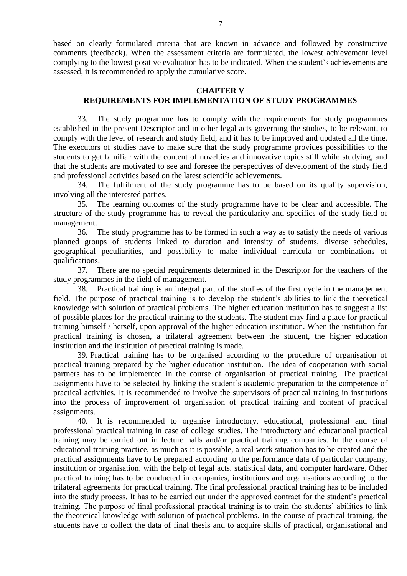based on clearly formulated criteria that are known in advance and followed by constructive comments (feedback). When the assessment criteria are formulated, the lowest achievement level complying to the lowest positive evaluation has to be indicated. When the student's achievements are assessed, it is recommended to apply the cumulative score.

## **CHAPTER V REQUIREMENTS FOR IMPLEMENTATION OF STUDY PROGRAMMES**

33. The study programme has to comply with the requirements for study programmes established in the present Descriptor and in other legal acts governing the studies, to be relevant, to comply with the level of research and study field, and it has to be improved and updated all the time. The executors of studies have to make sure that the study programme provides possibilities to the students to get familiar with the content of novelties and innovative topics still while studying, and that the students are motivated to see and foresee the perspectives of development of the study field and professional activities based on the latest scientific achievements.

34. The fulfilment of the study programme has to be based on its quality supervision, involving all the interested parties.

35. The learning outcomes of the study programme have to be clear and accessible. The structure of the study programme has to reveal the particularity and specifics of the study field of management.

36. The study programme has to be formed in such a way as to satisfy the needs of various planned groups of students linked to duration and intensity of students, diverse schedules, geographical peculiarities, and possibility to make individual curricula or combinations of qualifications.

37. There are no special requirements determined in the Descriptor for the teachers of the study programmes in the field of management.

38. Practical training is an integral part of the studies of the first cycle in the management field. The purpose of practical training is to develop the student's abilities to link the theoretical knowledge with solution of practical problems. The higher education institution has to suggest a list of possible places for the practical training to the students. The student may find a place for practical training himself / herself, upon approval of the higher education institution. When the institution for practical training is chosen, a trilateral agreement between the student, the higher education institution and the institution of practical training is made.

39. Practical training has to be organised according to the procedure of organisation of practical training prepared by the higher education institution. The idea of cooperation with social partners has to be implemented in the course of organisation of practical training. The practical assignments have to be selected by linking the student's academic preparation to the competence of practical activities. It is recommended to involve the supervisors of practical training in institutions into the process of improvement of organisation of practical training and content of practical assignments.

40. It is recommended to organise introductory, educational, professional and final professional practical training in case of college studies. The introductory and educational practical training may be carried out in lecture halls and/or practical training companies. In the course of educational training practice, as much as it is possible, a real work situation has to be created and the practical assignments have to be prepared according to the performance data of particular company, institution or organisation, with the help of legal acts, statistical data, and computer hardware. Other practical training has to be conducted in companies, institutions and organisations according to the trilateral agreements for practical training. The final professional practical training has to be included into the study process. It has to be carried out under the approved contract for the student's practical training. The purpose of final professional practical training is to train the students' abilities to link the theoretical knowledge with solution of practical problems. In the course of practical training, the students have to collect the data of final thesis and to acquire skills of practical, organisational and